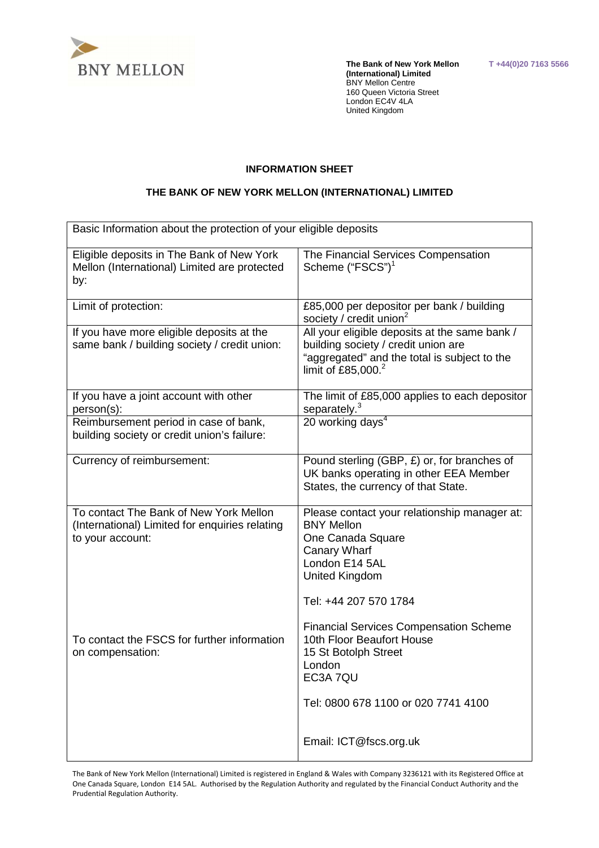

 **The Bank of New York Mellon T +44(0)20 7163 5566 (International) Limited**  BNY Mellon Centre 160 Queen Victoria Street London EC4V 4LA United Kingdom

### **INFORMATION SHEET**

#### **THE BANK OF NEW YORK MELLON (INTERNATIONAL) LIMITED**

| Basic Information about the protection of your eligible deposits                                             |                                                                                                                                                                                   |  |  |  |
|--------------------------------------------------------------------------------------------------------------|-----------------------------------------------------------------------------------------------------------------------------------------------------------------------------------|--|--|--|
| Eligible deposits in The Bank of New York<br>Mellon (International) Limited are protected<br>by:             | The Financial Services Compensation<br>Scheme ("FSCS") <sup>1</sup>                                                                                                               |  |  |  |
| Limit of protection:                                                                                         | £85,000 per depositor per bank / building<br>society / credit union $2$                                                                                                           |  |  |  |
| If you have more eligible deposits at the<br>same bank / building society / credit union:                    | All your eligible deposits at the same bank /<br>building society / credit union are<br>"aggregated" and the total is subject to the<br>limit of £85,000. $^{2}$                  |  |  |  |
| If you have a joint account with other<br>person(s):                                                         | The limit of £85,000 applies to each depositor<br>separately. <sup>3</sup>                                                                                                        |  |  |  |
| Reimbursement period in case of bank,<br>building society or credit union's failure:                         | 20 working days <sup>4</sup>                                                                                                                                                      |  |  |  |
| Currency of reimbursement:                                                                                   | Pound sterling (GBP, £) or, for branches of<br>UK banks operating in other EEA Member<br>States, the currency of that State.                                                      |  |  |  |
| To contact The Bank of New York Mellon<br>(International) Limited for enquiries relating<br>to your account: | Please contact your relationship manager at:<br><b>BNY Mellon</b><br>One Canada Square<br><b>Canary Wharf</b><br>London E14 5AL<br><b>United Kingdom</b><br>Tel: +44 207 570 1784 |  |  |  |
| To contact the FSCS for further information<br>on compensation:                                              | <b>Financial Services Compensation Scheme</b><br>10th Floor Beaufort House<br>15 St Botolph Street<br>London<br>EC3A 7QU<br>Tel: 0800 678 1100 or 020 7741 4100                   |  |  |  |
|                                                                                                              | Email: ICT@fscs.org.uk                                                                                                                                                            |  |  |  |

 The Bank of New York Mellon (International) Limited is registered in England & Wales with Company 3236121 with its Registered Office at One Canada Square, London E14 5AL. Authorised by the Regulation Authority and regulated by the Financial Conduct Authority and the Prudential Regulation Authority.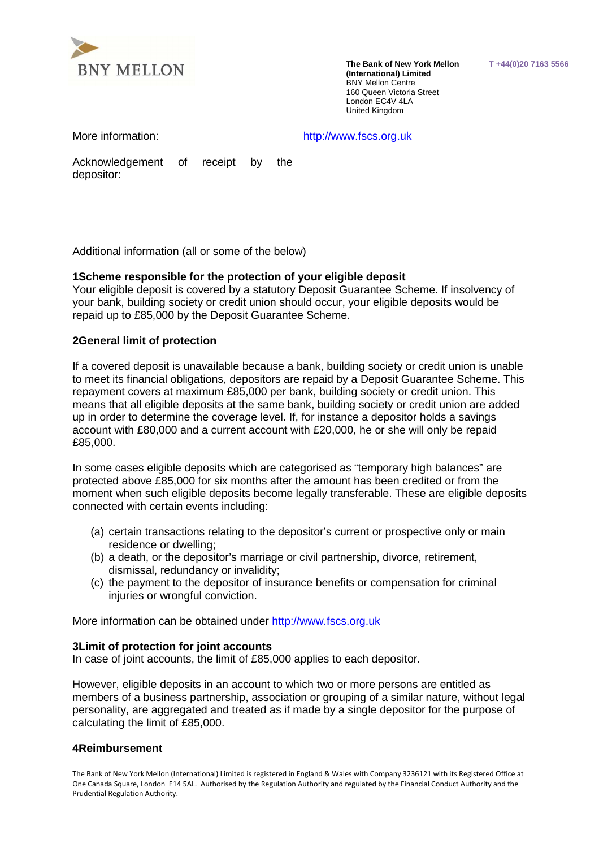

 **The Bank of New York Mellon T +44(0)20 7163 5566 (International) Limited**  BNY Mellon Centre 160 Queen Victoria Street London EC4V 4LA United Kingdom

| More information:                |         |    |     | http://www.fscs.org.uk |
|----------------------------------|---------|----|-----|------------------------|
| Acknowledgement of<br>depositor: | receipt | by | the |                        |

Additional information (all or some of the below)

# **1Scheme responsible for the protection of your eligible deposit**

 Your eligible deposit is covered by a statutory Deposit Guarantee Scheme. If insolvency of your bank, building society or credit union should occur, your eligible deposits would be repaid up to £85,000 by the Deposit Guarantee Scheme.

## **2General limit of protection**

 If a covered deposit is unavailable because a bank, building society or credit union is unable to meet its financial obligations, depositors are repaid by a Deposit Guarantee Scheme. This repayment covers at maximum £85,000 per bank, building society or credit union. This means that all eligible deposits at the same bank, building society or credit union are added up in order to determine the coverage level. If, for instance a depositor holds a savings account with £80,000 and a current account with £20,000, he or she will only be repaid £85,000.

 In some cases eligible deposits which are categorised as "temporary high balances" are protected above £85,000 for six months after the amount has been credited or from the moment when such eligible deposits become legally transferable. These are eligible deposits connected with certain events including:

- (a) certain transactions relating to the depositor's current or prospective only or main residence or dwelling;
- (b) a death, or the depositor's marriage or civil partnership, divorce, retirement, dismissal, redundancy or invalidity;
- (c) the payment to the depositor of insurance benefits or compensation for criminal injuries or wrongful conviction.

More information can be obtained under<http://www.fscs.org.uk>

# **3Limit of protection for joint accounts**

In case of joint accounts, the limit of £85,000 applies to each depositor.

 However, eligible deposits in an account to which two or more persons are entitled as members of a business partnership, association or grouping of a similar nature, without legal personality, are aggregated and treated as if made by a single depositor for the purpose of calculating the limit of £85,000.

#### **4Reimbursement**

 The Bank of New York Mellon (International) Limited is registered in England & Wales with Company 3236121 with its Registered Office at One Canada Square, London E14 5AL. Authorised by the Regulation Authority and regulated by the Financial Conduct Authority and the Prudential Regulation Authority.